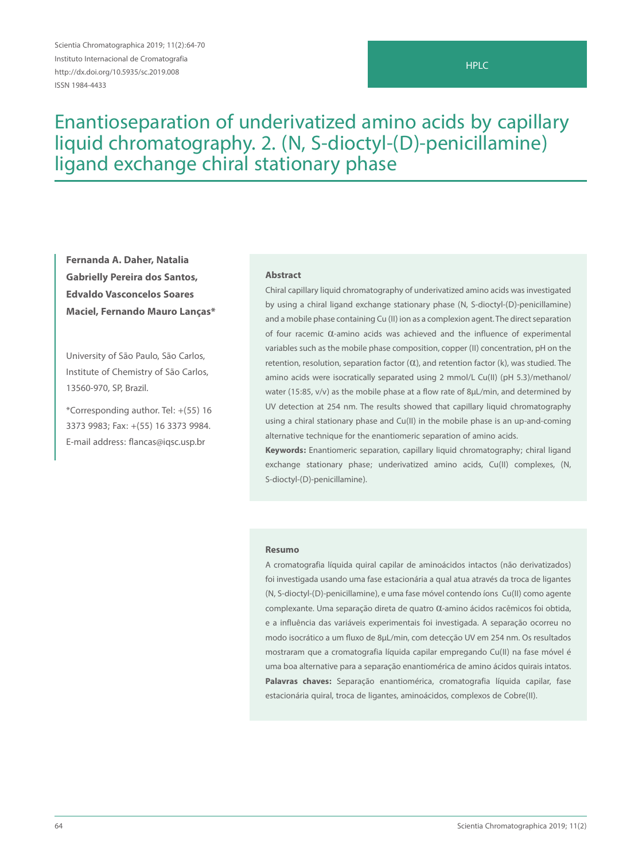Scientia Chromatographica 2019; 11(2):64-70 Instituto Internacional de Cromatografia http://dx.doi.org/10.5935/sc.2019.008 ISSN 1984-4433

# Enantioseparation of underivatized amino acids by capillary liquid chromatography. 2. (N, S-dioctyl-(D)-penicillamine) ligand exchange chiral stationary phase

**Fernanda A. Daher, Natalia Gabrielly Pereira dos Santos, Edvaldo Vasconcelos Soares Maciel, Fernando Mauro Lanças\***

University of São Paulo, São Carlos, Institute of Chemistry of São Carlos, 13560-970, SP, Brazil.

\*Corresponding author. Tel: +(55) 16 3373 9983; Fax: +(55) 16 3373 9984. E-mail address: flancas@iqsc.usp.br

#### **Abstract**

Chiral capillary liquid chromatography of underivatized amino acids was investigated by using a chiral ligand exchange stationary phase (N, S-dioctyl-(D)-penicillamine) and a mobile phase containing Cu (II) ion as a complexion agent. The direct separation of four racemic α-amino acids was achieved and the influence of experimental variables such as the mobile phase composition, copper (II) concentration, pH on the retention, resolution, separation factor  $(0)$ , and retention factor  $(k)$ , was studied. The amino acids were isocratically separated using 2 mmol/L Cu(II) (pH 5.3)/methanol/ water (15:85, v/v) as the mobile phase at a flow rate of 8µL/min, and determined by UV detection at 254 nm. The results showed that capillary liquid chromatography using a chiral stationary phase and Cu(II) in the mobile phase is an up-and-coming alternative technique for the enantiomeric separation of amino acids.

**Keywords:** Enantiomeric separation, capillary liquid chromatography; chiral ligand exchange stationary phase; underivatized amino acids, Cu(II) complexes, (N, S-dioctyl-(D)-penicillamine).

#### **Resumo**

A cromatografia líquida quiral capilar de aminoácidos intactos (não derivatizados) foi investigada usando uma fase estacionária a qual atua através da troca de ligantes (N, S-dioctyl-(D)-penicillamine), e uma fase móvel contendo íons Cu(II) como agente complexante. Uma separação direta de quatro 0-amino ácidos racêmicos foi obtida, e a influência das variáveis experimentais foi investigada. A separação ocorreu no modo isocrático a um fluxo de 8µL/min, com detecção UV em 254 nm. Os resultados mostraram que a cromatografia líquida capilar empregando Cu(II) na fase móvel é uma boa alternative para a separação enantiomérica de amino ácidos quirais intatos. **Palavras chaves:** Separação enantiomérica, cromatografia líquida capilar, fase estacionária quiral, troca de ligantes, aminoácidos, complexos de Cobre(II).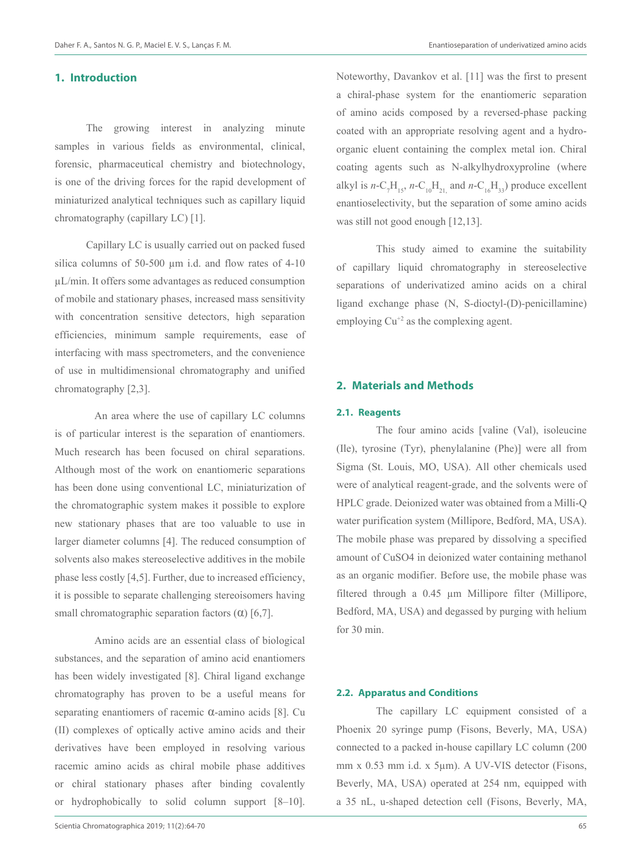# **1. Introduction**

The growing interest in analyzing minute samples in various fields as environmental, clinical, forensic, pharmaceutical chemistry and biotechnology, is one of the driving forces for the rapid development of miniaturized analytical techniques such as capillary liquid chromatography (capillary LC) [1].

Capillary LC is usually carried out on packed fused silica columns of 50-500 µm i.d. and flow rates of 4-10 µL/min. It offers some advantages as reduced consumption of mobile and stationary phases, increased mass sensitivity with concentration sensitive detectors, high separation efficiencies, minimum sample requirements, ease of interfacing with mass spectrometers, and the convenience of use in multidimensional chromatography and unified chromatography [2,3].

An area where the use of capillary LC columns is of particular interest is the separation of enantiomers. Much research has been focused on chiral separations. Although most of the work on enantiomeric separations has been done using conventional LC, miniaturization of the chromatographic system makes it possible to explore new stationary phases that are too valuable to use in larger diameter columns [4]. The reduced consumption of solvents also makes stereoselective additives in the mobile phase less costly [4,5]. Further, due to increased efficiency, it is possible to separate challenging stereoisomers having small chromatographic separation factors  $(\alpha)$  [6,7].

Amino acids are an essential class of biological substances, and the separation of amino acid enantiomers has been widely investigated [8]. Chiral ligand exchange chromatography has proven to be a useful means for separating enantiomers of racemic α-amino acids [8]. Cu (II) complexes of optically active amino acids and their derivatives have been employed in resolving various racemic amino acids as chiral mobile phase additives or chiral stationary phases after binding covalently or hydrophobically to solid column support [8–10].

Noteworthy, Davankov et al. [11] was the first to present a chiral-phase system for the enantiomeric separation of amino acids composed by a reversed-phase packing coated with an appropriate resolving agent and a hydroorganic eluent containing the complex metal ion. Chiral coating agents such as N-alkylhydroxyproline (where alkyl is *n*-C<sub>1</sub>H<sub>15</sub>, *n*-C<sub>10</sub>H<sub>21</sub>, and *n*-C<sub>16</sub>H<sub>33</sub>) produce excellent enantioselectivity, but the separation of some amino acids was still not good enough [12,13].

This study aimed to examine the suitability of capillary liquid chromatography in stereoselective separations of underivatized amino acids on a chiral ligand exchange phase (N, S-dioctyl-(D)-penicillamine) employing  $Cu^{2}$  as the complexing agent.

# **2. Materials and Methods**

#### **2.1. Reagents**

The four amino acids [valine (Val), isoleucine (Ile), tyrosine (Tyr), phenylalanine (Phe)] were all from Sigma (St. Louis, MO, USA). All other chemicals used were of analytical reagent-grade, and the solvents were of HPLC grade. Deionized water was obtained from a Milli-Q water purification system (Millipore, Bedford, MA, USA). The mobile phase was prepared by dissolving a specified amount of CuSO4 in deionized water containing methanol as an organic modifier. Before use, the mobile phase was filtered through a 0.45 µm Millipore filter (Millipore, Bedford, MA, USA) and degassed by purging with helium for 30 min.

### **2.2. Apparatus and Conditions**

The capillary LC equipment consisted of a Phoenix 20 syringe pump (Fisons, Beverly, MA, USA) connected to a packed in-house capillary LC column (200 mm x 0.53 mm i.d. x 5µm). A UV-VIS detector (Fisons, Beverly, MA, USA) operated at 254 nm, equipped with a 35 nL, u-shaped detection cell (Fisons, Beverly, MA,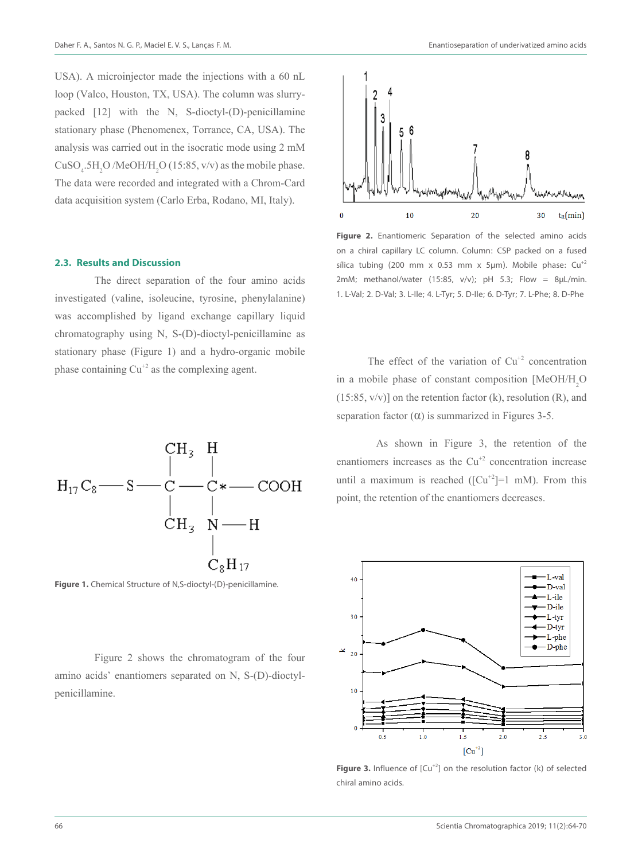USA). A microinjector made the injections with a 60 nL loop (Valco, Houston, TX, USA). The column was slurrypacked [12] with the N, S-dioctyl-(D)-penicillamine stationary phase (Phenomenex, Torrance, CA, USA). The analysis was carried out in the isocratic mode using 2 mM  $CuSO<sub>4</sub>$ :5H<sub>2</sub>O /MeOH/H<sub>2</sub>O (15:85, v/v) as the mobile phase. The data were recorded and integrated with a Chrom-Card data acquisition system (Carlo Erba, Rodano, MI, Italy).

## **2.3. Results and Discussion**

The direct separation of the four amino acids investigated (valine, isoleucine, tyrosine, phenylalanine) was accomplished by ligand exchange capillary liquid chromatography using N, S-(D)-dioctyl-penicillamine as stationary phase (Figure 1) and a hydro-organic mobile phase containing  $Cu^{2}$  as the complexing agent.



**Figure 1.** Chemical Structure of N,S-dioctyl-(D)-penicillamine.

Figure 2 shows the chromatogram of the four amino acids' enantiomers separated on N, S-(D)-dioctylpenicillamine.



**Figure 2.** Enantiomeric Separation of the selected amino acids on a chiral capillary LC column. Column: CSP packed on a fused sílica tubing (200 mm x 0.53 mm x 5µm). Mobile phase:  $Cu^{+2}$ 2mM; methanol/water (15:85, v/v); pH 5.3; Flow = 8 $\mu$ L/min. 1. L-Val; 2. D-Val; 3. L-Ile; 4. L-Tyr; 5. D-Ile; 6. D-Tyr; 7. L-Phe; 8. D-Phe

The effect of the variation of  $Cu<sup>+2</sup>$  concentration in a mobile phase of constant composition [MeOH/H<sub>2</sub>O]  $(15:85, v/v)$  on the retention factor (k), resolution (R), and separation factor  $(\alpha)$  is summarized in Figures 3-5.

As shown in Figure 3, the retention of the enantiomers increases as the  $Cu<sup>+2</sup>$  concentration increase until a maximum is reached  $([Cu<sup>+2</sup>]=1$  mM). From this point, the retention of the enantiomers decreases.



**Figure 3.** Influence of  $[Cu^{+2}]$  on the resolution factor (k) of selected chiral amino acids.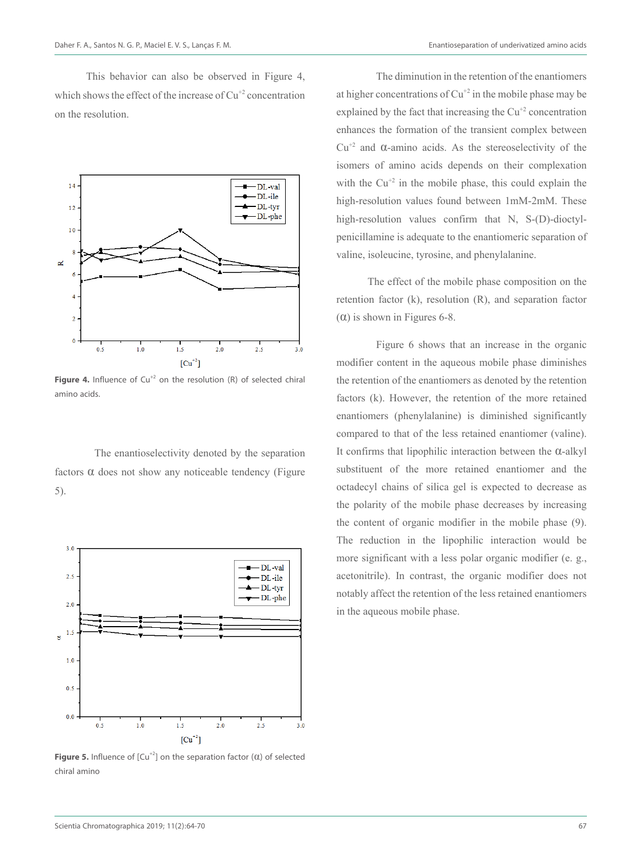This behavior can also be observed in Figure 4, which shows the effect of the increase of  $Cu^{2}$  concentration on the resolution.



**Figure 4.** Influence of  $Cu^{+2}$  on the resolution (R) of selected chiral amino acids.

The enantioselectivity denoted by the separation factors  $\alpha$  does not show any noticeable tendency (Figure 5).



**Figure 5.** Influence of  $[Cu^{+2}]$  on the separation factor  $(\alpha)$  of selected chiral amino

The diminution in the retention of the enantiomers at higher concentrations of  $Cu^{2}$  in the mobile phase may be explained by the fact that increasing the  $Cu<sup>+2</sup>$  concentration enhances the formation of the transient complex between  $Cu^{+2}$  and  $\alpha$ -amino acids. As the stereoselectivity of the isomers of amino acids depends on their complexation with the  $Cu^{2}$  in the mobile phase, this could explain the high-resolution values found between 1mM-2mM. These high-resolution values confirm that N, S-(D)-dioctylpenicillamine is adequate to the enantiomeric separation of valine, isoleucine, tyrosine, and phenylalanine.

The effect of the mobile phase composition on the retention factor (k), resolution (R), and separation factor ( $\alpha$ ) is shown in Figures 6-8.

Figure 6 shows that an increase in the organic modifier content in the aqueous mobile phase diminishes the retention of the enantiomers as denoted by the retention factors (k). However, the retention of the more retained enantiomers (phenylalanine) is diminished significantly compared to that of the less retained enantiomer (valine). It confirms that lipophilic interaction between the α-alkyl substituent of the more retained enantiomer and the octadecyl chains of silica gel is expected to decrease as the polarity of the mobile phase decreases by increasing the content of organic modifier in the mobile phase (9). The reduction in the lipophilic interaction would be more significant with a less polar organic modifier (e. g., acetonitrile). In contrast, the organic modifier does not notably affect the retention of the less retained enantiomers in the aqueous mobile phase.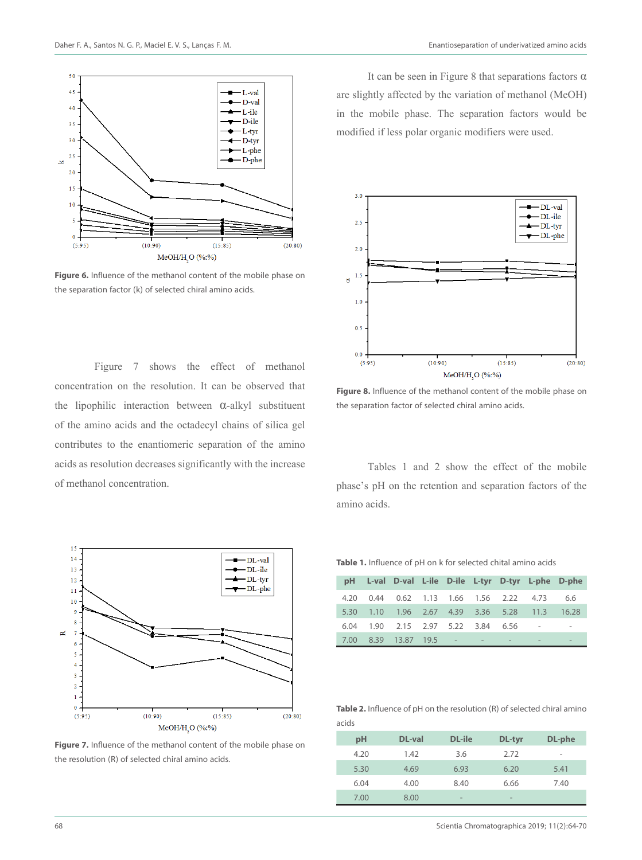



**Figure 6.** Influence of the methanol content of the mobile phase on the separation factor (k) of selected chiral amino acids.

Figure 7 shows the effect of methanol concentration on the resolution. It can be observed that the lipophilic interaction between α-alkyl substituent of the amino acids and the octadecyl chains of silica gel contributes to the enantiomeric separation of the amino acids as resolution decreases significantly with the increase of methanol concentration.



**Figure 7.** Influence of the methanol content of the mobile phase on the resolution (R) of selected chiral amino acids.

It can be seen in Figure 8 that separations factors  $\alpha$ are slightly affected by the variation of methanol (MeOH) in the mobile phase. The separation factors would be modified if less polar organic modifiers were used.



**Figure 8.** Influence of the methanol content of the mobile phase on the separation factor of selected chiral amino acids.

Tables 1 and 2 show the effect of the mobile phase's pH on the retention and separation factors of the amino acids.

**Table 1.** Influence of pH on k for selected chital amino acids

|      |                                          |  |  | pH L-val D-val L-ile D-ile L-tyr D-tyr L-phe D-phe |     |
|------|------------------------------------------|--|--|----------------------------------------------------|-----|
| 4.20 | 0.44  0.62  1.13  1.66  1.56  2.22  4.73 |  |  |                                                    | 6.6 |
|      |                                          |  |  | 5.30 1.10 1.96 2.67 4.39 3.36 5.28 11.3 16.28      |     |
|      |                                          |  |  | 6.04  1.90  2.15  2.97  5.22  3.84  6.56  - -      |     |
|      | 7.00 8.39 13.87 19.5 - - - - -           |  |  |                                                    |     |

**Table 2.** Influence of pH on the resolution (R) of selected chiral amino acids

| pH   | DL-val | DL-ile                   | DL-tyr                   | DL-phe |
|------|--------|--------------------------|--------------------------|--------|
| 4.20 | 1.42   | 3.6                      | 2.72                     | -      |
| 5.30 | 4.69   | 6.93                     | 6.20                     | 5.41   |
| 6.04 | 4.00   | 8.40                     | 6.66                     | 7.40   |
| 7.00 | 8.00   | $\overline{\phantom{a}}$ | $\overline{\phantom{a}}$ |        |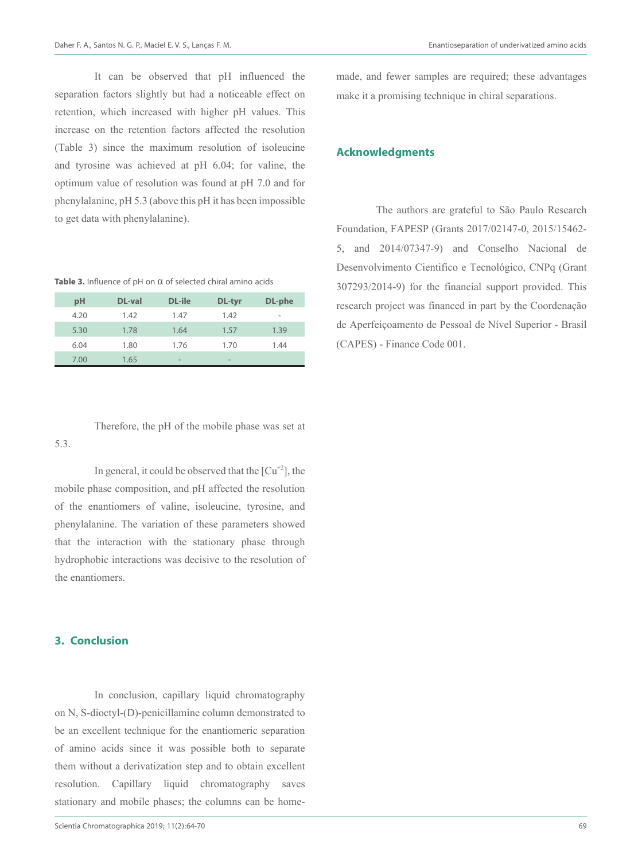It can be observed that pH influenced the separation factors slightly but had a noticeable effect on retention, which increased with higher pH values. This increase on the retention factors affected the resolution (Table 3) since the maximum resolution of isoleucine and tyrosine was achieved at pH 6.04; for valine, the optimum value of resolution was found at pH 7.0 and for phenylalanine, pH 5.3 (above this pH it has been impossible to get data with phenylalanine).

**Table 3.** Influence of pH on α of selected chiral amino acids

| pH   | DL-val | DL-ile                   | DL-tyr                   | DL-phe                   |
|------|--------|--------------------------|--------------------------|--------------------------|
| 4.20 | 1.42   | 1.47                     | 1.42                     | $\overline{\phantom{0}}$ |
| 5.30 | 1.78   | 1.64                     | 1.57                     | 1.39                     |
| 6.04 | 1.80   | 1.76                     | 1.70                     | 1.44                     |
| 7.00 | 1.65   | $\overline{\phantom{a}}$ | $\overline{\phantom{a}}$ |                          |

Therefore, the pH of the mobile phase was set at 5.3.

In general, it could be observed that the  $\lceil Cu^{+2} \rceil$ , the mobile phase composition, and pH affected the resolution of the enantiomers of valine, isoleucine, tyrosine, and phenylalanine. The variation of these parameters showed that the interaction with the stationary phase through hydrophobic interactions was decisive to the resolution of the enantiomers.

# **3. Conclusion**

 In conclusion, capillary liquid chromatography on N, S-dioctyl-(D)-penicillamine column demonstrated to be an excellent technique for the enantiomeric separation of amino acids since it was possible both to separate them without a derivatization step and to obtain excellent resolution. Capillary liquid chromatography saves stationary and mobile phases; the columns can be homemade, and fewer samples are required; these advantages make it a promising technique in chiral separations.

# **Acknowledgments**

 The authors are grateful to São Paulo Research Foundation, FAPESP (Grants 2017/02147-0, 2015/15462- 5, and 2014/07347-9) and Conselho Nacional de Desenvolvimento Cientifico e Tecnológico, CNPq (Grant 307293/2014-9) for the financial support provided. This research project was financed in part by the Coordenação de Aperfeiçoamento de Pessoal de Nível Superior - Brasil (CAPES) - Finance Code 001.